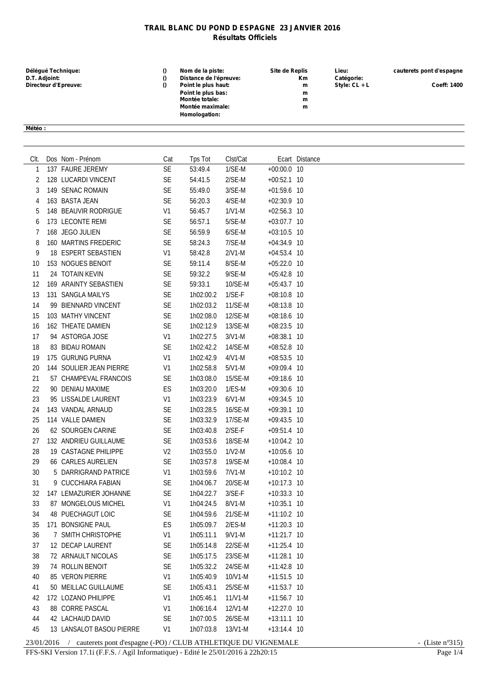## **TRAIL BLANC DU POND D ESPAGNE 23 JANVIER 2016 Résultats Officiels**

| Délégué Technique:<br>D.T. Adjoint: | Nom de la piste:<br>Distance de l'épreuve: | Site de Replis<br>Km. | Lieu:<br>Catégorie: | cauterets pont d'espagne |
|-------------------------------------|--------------------------------------------|-----------------------|---------------------|--------------------------|
| Directeur d'Epreuve:                | Point le plus haut:                        | m                     | Style: $CL + L$     | <b>Coeff: 1400</b>       |
|                                     | Point le plus bas:                         | m                     |                     |                          |
|                                     | Montée totale:                             | m                     |                     |                          |
|                                     | Montée maximale:                           | m                     |                     |                          |
|                                     | Homologation:                              |                       |                     |                          |
|                                     |                                            |                       |                     |                          |
| Météo :                             |                                            |                       |                     |                          |

| Clt. | Dos Nom - Prénom            | Cat            | Tps Tot   | Clst/Cat  |               | Ecart Distance |
|------|-----------------------------|----------------|-----------|-----------|---------------|----------------|
| 1    | 137 FAURE JEREMY            | SE             | 53:49.4   | $1/SE-M$  | $+00:00.0$ 10 |                |
| 2    | 128 LUCARDI VINCENT         | SE             | 54:41.5   | $2/SE-M$  | $+00:52.1$ 10 |                |
| 3    | 149 SENAC ROMAIN            | <b>SE</b>      | 55:49.0   | $3/SE-M$  | $+01:59.6$ 10 |                |
| 4    | 163 BASTA JEAN              | <b>SE</b>      | 56:20.3   | 4/SE-M    | $+02:30.9$ 10 |                |
| 5    | 148 BEAUVIR RODRIGUE        | V <sub>1</sub> | 56:45.7   | $1/V1-M$  | $+02:56.3$ 10 |                |
| 6    | 173 LECONTE REMI            | <b>SE</b>      | 56:57.1   | $5/SE-M$  | $+03:07.7$ 10 |                |
| 7    | 168 JEGO JULIEN             | <b>SE</b>      | 56:59.9   | $6/SE-M$  | $+03:10.5$ 10 |                |
| 8    | 160 MARTINS FREDERIC        | SE             | 58:24.3   | 7/SE-M    | $+04:34.9$ 10 |                |
| 9    | 18 ESPERT SEBASTIEN         | V <sub>1</sub> | 58:42.8   | $2/V1-M$  | $+04:53.4$ 10 |                |
| 10   | 153 NOGUES BENOIT           | <b>SE</b>      | 59:11.4   | 8/SE-M    | $+05:22.0$ 10 |                |
| 11   | 24 TOTAIN KEVIN             | <b>SE</b>      | 59:32.2   | 9/SE-M    | $+05:42.8$ 10 |                |
| 12   | 169 ARAINTY SEBASTIEN       | SE             | 59:33.1   | 10/SE-M   | $+05:43.7$ 10 |                |
| 13   | 131 SANGLA MAILYS           | <b>SE</b>      | 1h02:00.2 | $1/SE-F$  | $+08:10.8$ 10 |                |
| 14   | 99 BIENNARD VINCENT         | <b>SE</b>      | 1h02:03.2 | 11/SE-M   | $+08:13.8$ 10 |                |
| 15   | 103 MATHY VINCENT           | <b>SE</b>      | 1h02:08.0 | 12/SE-M   | $+08:18.6$ 10 |                |
| 16   | 162 THEATE DAMIEN           | SE             | 1h02:12.9 | 13/SE-M   | $+08:23.5$ 10 |                |
| 17   | 94 ASTORGA JOSE             | V <sub>1</sub> | 1h02:27.5 | $3/V1-M$  | $+08:38.1$ 10 |                |
| 18   | 83 BIDAU ROMAIN             | <b>SE</b>      | 1h02:42.2 | 14/SE-M   | $+08:52.8$ 10 |                |
| 19   | 175 GURUNG PURNA            | V <sub>1</sub> | 1h02:42.9 | $4/N1-M$  | $+08:53.5$ 10 |                |
| 20   | 144 SOULIER JEAN PIERRE     | V <sub>1</sub> | 1h02:58.8 | $5/V1-M$  | $+09:09.4$ 10 |                |
| 21   | 57 CHAMPEVAL FRANCOIS       | <b>SE</b>      | 1h03:08.0 | 15/SE-M   | $+09:18.6$ 10 |                |
| 22   | 90 DENIAU MAXIME            | ES             | 1h03:20.0 | $1/ES-M$  | $+09:30.6$ 10 |                |
| 23   | 95 LISSALDE LAURENT         | V <sub>1</sub> | 1h03:23.9 | $6/V1-M$  | $+09:34.5$ 10 |                |
| 24   | 143 VANDAL ARNAUD           | <b>SE</b>      | 1h03:28.5 | 16/SE-M   | $+09:39.1$ 10 |                |
| 25   | 114 VALLE DAMIEN            | <b>SE</b>      | 1h03:32.9 | 17/SE-M   | $+09:43.5$ 10 |                |
| 26   | 62 SOURGEN CARINE           | <b>SE</b>      | 1h03:40.8 | $2/SE-F$  | $+09:51.4$ 10 |                |
| 27   | 132 ANDRIEU GUILLAUME       | <b>SE</b>      | 1h03:53.6 | 18/SE-M   | $+10:04.2$ 10 |                |
| 28   | <b>19 CASTAGNE PHILIPPE</b> | V <sub>2</sub> | 1h03:55.0 | $1/V2-M$  | $+10:05.6$ 10 |                |
| 29   | <b>66 CARLES AURELIEN</b>   | <b>SE</b>      | 1h03:57.8 | 19/SE-M   | $+10:08.4$ 10 |                |
| 30   | 5 DARRIGRAND PATRICE        | V1             | 1h03:59.6 | $7/N1-M$  | $+10:10.2$ 10 |                |
| 31   | 9 CUCCHIARA FABIAN          | <b>SE</b>      | 1h04:06.7 | 20/SE-M   | $+10:17.3$ 10 |                |
| 32   | 147 LEMAZURIER JOHANNE      | <b>SE</b>      | 1h04:22.7 | $3/SE-F$  | $+10:33.3$ 10 |                |
| 33   | 87 MONGELOUS MICHEL         | V <sub>1</sub> | 1h04:24.5 | 8/V1-M    | $+10:35.1$ 10 |                |
| 34   | <b>48 PUECHAGUT LOIC</b>    | <b>SE</b>      | 1h04:59.6 | 21/SE-M   | $+11:10.2$ 10 |                |
| 35   | 171 BONSIGNE PAUL           | ES             | 1h05:09.7 | $2/ES-M$  | $+11:20.3$ 10 |                |
| 36   | 7 SMITH CHRISTOPHE          | V1             | 1h05:11.1 | $9/V1-M$  | +11:21.7 10   |                |
| 37   | 12 DECAP LAURENT            | <b>SE</b>      | 1h05:14.8 | 22/SE-M   | +11:25.4 10   |                |
| 38   | 72 ARNAULT NICOLAS          | SE             | 1h05:17.5 | 23/SE-M   | +11:28.1 10   |                |
| 39   | 74 ROLLIN BENOIT            | <b>SE</b>      | 1h05:32.2 | 24/SE-M   | +11:42.8 10   |                |
| 40   | 85 VERON PIERRE             | V <sub>1</sub> | 1h05:40.9 | 10/V1-M   | +11:51.5 10   |                |
| 41   | 50 MEILLAC GUILLAUME        | <b>SE</b>      | 1h05:43.1 | 25/SE-M   | +11:53.7 10   |                |
| 42   | 172 LOZANO PHILIPPE         | V <sub>1</sub> | 1h05:46.1 | $11/N1-M$ | +11:56.7 10   |                |
| 43   | 88 CORRE PASCAL             | V <sub>1</sub> | 1h06:16.4 | 12/V1-M   | +12:27.0 10   |                |
| 44   | 42 LACHAUD DAVID            | SE             | 1h07:00.5 | 26/SE-M   | $+13:11.1$ 10 |                |
| 45   | 13 LANSALOT BASOU PIERRE    | V <sub>1</sub> | 1h07:03.8 | 13/V1-M   | $+13:14.4$ 10 |                |

## 23/01/2016 / cauterets pont d'espagne (-PO) / CLUB ATHLETIQUE DU VIGNEMALE - (Liste n°315)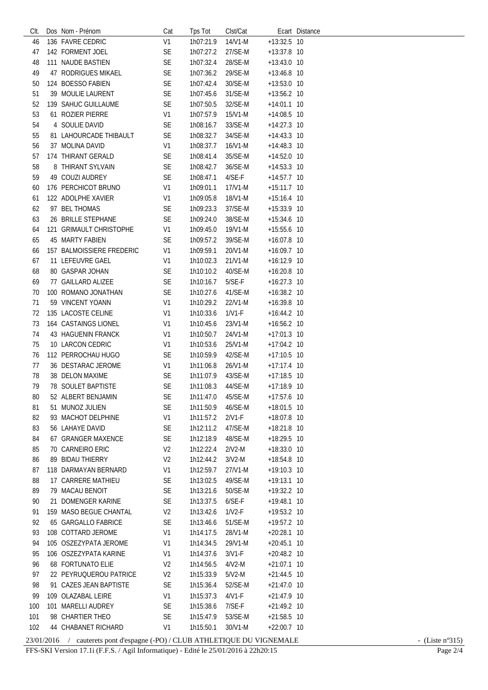| CIt. | Dos Nom - Prénom          | Cat            | Tps Tot           | Clst/Cat  |               | Ecart Distance |
|------|---------------------------|----------------|-------------------|-----------|---------------|----------------|
| 46   | 136 FAVRE CEDRIC          | V <sub>1</sub> | 1h07:21.9         | 14/V1-M   | +13:32.5 10   |                |
| 47   | 142 FORMENT JOEL          | <b>SE</b>      | 1h07:27.2         | 27/SE-M   | +13:37.8 10   |                |
| 48   | 111 NAUDE BASTIEN         | SE             | 1h07:32.4         | 28/SE-M   | $+13:43.0$ 10 |                |
| 49   | 47 RODRIGUES MIKAEL       | SE             | 1h07:36.2         | 29/SE-M   | +13:46.8 10   |                |
| 50   | 124 BOESSO FABIEN         | SE             | 1h07:42.4         | 30/SE-M   | $+13:53.0$ 10 |                |
| 51   | 39 MOULIE LAURENT         | <b>SE</b>      | 1h07:45.6         | 31/SE-M   | +13:56.2 10   |                |
| 52   | 139 SAHUC GUILLAUME       | <b>SE</b>      | 1h07:50.5         | 32/SE-M   | $+14:01.1$ 10 |                |
| 53   | 61 ROZIER PIERRE          | V <sub>1</sub> | 1h07:57.9         | 15/V1-M   | $+14:08.5$ 10 |                |
| 54   | 4 SOULIE DAVID            | SE             | 1h08:16.7         | 33/SE-M   | $+14:27.3$ 10 |                |
| 55   | 81 LAHOURCADE THIBAULT    | SE             |                   |           |               |                |
|      |                           |                | 1h08:32.7         | 34/SE-M   | $+14:43.3$ 10 |                |
| 56   | 37 MOLINA DAVID           | V <sub>1</sub> | 1h08:37.7         | 16/V1-M   | $+14:48.3$ 10 |                |
| 57   | 174 THIRANT GERALD        | SE             | 1h08:41.4         | 35/SE-M   | +14:52.0 10   |                |
| 58   | 8 THIRANT SYLVAIN         | SE             | 1h08:42.7         | 36/SE-M   | +14:53.3 10   |                |
| 59   | 49 COUZI AUDREY           | <b>SE</b>      | 1h08:47.1         | $4/SE-F$  | +14:57.7 10   |                |
| 60   | 176 PERCHICOT BRUNO       | V <sub>1</sub> | 1h09:01.1         | $17/N1-M$ | $+15:11.7$ 10 |                |
| 61   | 122 ADOLPHE XAVIER        | V <sub>1</sub> | 1h09:05.8         | 18/V1-M   | $+15:16.4$ 10 |                |
| 62   | 97 BEL THOMAS             | SE             | 1h09:23.3         | 37/SE-M   | $+15:33.9$ 10 |                |
| 63   | 26 BRILLE STEPHANE        | <b>SE</b>      | 1h09:24.0         | 38/SE-M   | $+15:34.6$ 10 |                |
| 64   | 121 GRIMAULT CHRISTOPHE   | V <sub>1</sub> | 1h09:45.0         | 19/V1-M   | +15:55.6 10   |                |
| 65   | 45 MARTY FABIEN           | SE             | 1h09:57.2         | 39/SE-M   | +16:07.8 10   |                |
| 66   | 157 BALMOISSIERE FREDERIC | V <sub>1</sub> | 1h09:59.1         | 20/V1-M   | $+16:09.7$ 10 |                |
| 67   | 11 LEFEUVRE GAEL          | V1             | 1h10:02.3         | 21/V1-M   | $+16:12.9$ 10 |                |
| 68   | 80 GASPAR JOHAN           | <b>SE</b>      | 1h10:10.2         | 40/SE-M   | $+16:20.8$ 10 |                |
| 69   | 77 GAILLARD ALIZEE        | <b>SE</b>      | 1h10:16.7         | $5/SE-F$  | $+16:27.3$ 10 |                |
| 70   | 100 ROMANO JONATHAN       | <b>SE</b>      | 1h10:27.6         | 41/SE-M   | $+16:38.2$ 10 |                |
| 71   | 59 VINCENT YOANN          | V <sub>1</sub> | 1h10:29.2         | 22/V1-M   | $+16:39.8$ 10 |                |
| 72   | 135 LACOSTE CELINE        | V <sub>1</sub> | 1h10:33.6         | $1/V1-F$  | $+16:44.2$ 10 |                |
| 73   | 164 CASTAINGS LIONEL      | V <sub>1</sub> | 1h10:45.6         | 23/V1-M   | $+16:56.2$ 10 |                |
| 74   | 43 HAGUENIN FRANCK        | V <sub>1</sub> | 1h10:50.7         | 24/V1-M   | $+17:01.3$ 10 |                |
| 75   | 10 LARCON CEDRIC          | V <sub>1</sub> | 1h10:53.6         | 25/V1-M   | $+17:04.2$ 10 |                |
| 76   | 112 PERROCHAU HUGO        | <b>SE</b>      | 1h10:59.9         | 42/SE-M   | $+17:10.5$ 10 |                |
| 77   | 36 DESTARAC JEROME        | V <sub>1</sub> | 1h11:06.8         | 26/V1-M   | $+17:17.4$ 10 |                |
| 78   | 38 DELON MAXIME           | <b>SE</b>      | 1h11:07.9         | 43/SE-M   | $+17:18.5$ 10 |                |
| 79   | <b>78 SOULET BAPTISTE</b> | <b>SE</b>      | 1h11:08.3         | 44/SE-M   | $+17:18.9$ 10 |                |
| 80   | 52 ALBERT BENJAMIN        | SE             | 1h11:47.0 45/SE-M |           | +17:57.6 10   |                |
| 81   | 51 MUNOZ JULIEN           | SE             | 1h11:50.9         | 46/SE-M   | +18:01.5 10   |                |
| 82   | 93 MACHOT DELPHINE        | V1             | 1h11:57.2         | $2/V1-F$  | +18:07.8 10   |                |
| 83   | 56 LAHAYE DAVID           | <b>SE</b>      | 1h12:11.2         | 47/SE-M   | +18:21.8 10   |                |
| 84   | 67 GRANGER MAXENCE        | SE             | 1h12:18.9         | 48/SE-M   | +18:29.5 10   |                |
| 85   | 70 CARNEIRO ERIC          | V <sub>2</sub> | 1h12:22.4         | $2/V2-M$  | +18:33.0 10   |                |
| 86   | 89 BIDAU THIERRY          | V <sub>2</sub> | 1h12:44.2         | $3/V2-M$  | +18:54.8 10   |                |
| 87   | 118 DARMAYAN BERNARD      | V <sub>1</sub> | 1h12:59.7         | 27/V1-M   | $+19:10.3$ 10 |                |
| 88   | 17 CARRERE MATHIEU        | SE             | 1h13:02.5         | 49/SE-M   | $+19:13.1$ 10 |                |
| 89   | 79 MACAU BENOIT           | SE             | 1h13:21.6         | 50/SE-M   | +19:32.2 10   |                |
| 90   | 21 DOMENGER KARINE        | SE             | 1h13:37.5         | $6/SE-F$  | +19:48.1 10   |                |
| 91   | 159 MASO BEGUE CHANTAL    | V <sub>2</sub> | 1h13:42.6         | $1/V2-F$  | +19:53.2 10   |                |
| 92   | 65 GARGALLO FABRICE       | SE             | 1h13:46.6         | 51/SE-M   | +19:57.2 10   |                |
| 93   | 108 COTTARD JEROME        | V <sub>1</sub> | 1h14:17.5         | 28/V1-M   | $+20:28.1$ 10 |                |
| 94   | 105 OSZEZYPATA JEROME     | V1             | 1h14:34.5         | 29/V1-M   | $+20:45.1$ 10 |                |
| 95   | 106 OSZEZYPATA KARINE     | V1             | 1h14:37.6         | $3/V1-F$  | $+20:48.2$ 10 |                |
| 96   | <b>68 FORTUNATO ELIE</b>  | V <sub>2</sub> | 1h14:56.5         | $4/N2-M$  | $+21:07.1$ 10 |                |
| 97   | 22 PEYRUQUEROU PATRICE    | V <sub>2</sub> | 1h15:33.9         | $5/V2-M$  | $+21:44.5$ 10 |                |
| 98   | 91 CAZES JEAN BAPTISTE    | SE             | 1h15:36.4         | 52/SE-M   | $+21:47.0$ 10 |                |
| 99   | 109 OLAZABAL LEIRE        | V <sub>1</sub> | 1h15:37.3         | $4/V1-F$  | $+21:47.9$ 10 |                |
| 100  | 101 MARELLI AUDREY        | SE             | 1h15:38.6         | 7/SE-F    | $+21:49.2$ 10 |                |
| 101  | 98 CHARTIER THEO          | SE             | 1h15:47.9         | 53/SE-M   | $+21:58.5$ 10 |                |
| 102  | 44 CHABANET RICHARD       | V1             | 1h15:50.1         | 30/V1-M   | $+22:00.7$ 10 |                |
|      |                           |                |                   |           |               |                |

## $23/01/2016$  / cauterets pont d'espagne (-PO) / CLUB ATHLETIQUE DU VIGNEMALE<br>FFS-SKI Version 17.1 i (F.F.S. / Agil Informatique) - Edité le  $25/01/2016$  à  $22h20:15$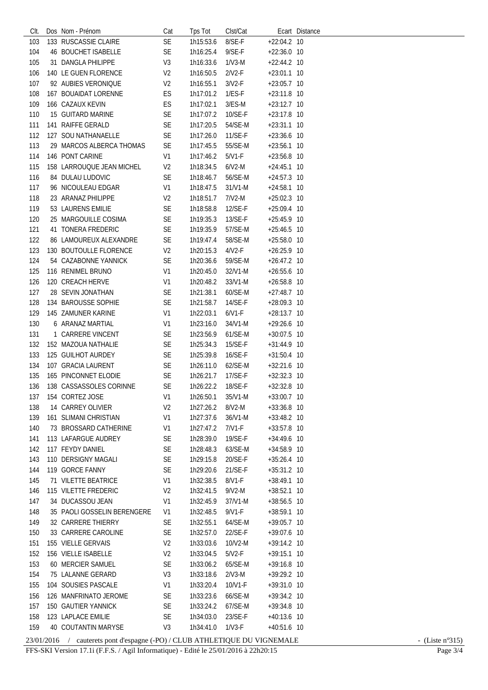| CIt. | Dos Nom - Prénom            | Cat            | <b>Tps Tot</b> | Clst/Cat            |               | Ecart Distance |
|------|-----------------------------|----------------|----------------|---------------------|---------------|----------------|
| 103  | 133 RUSCASSIE CLAIRE        | <b>SE</b>      | 1h15:53.6      | 8/SE-F              | $+22:04.2$ 10 |                |
| 104  | 46 BOUCHET ISABELLE         | SE             | 1h16:25.4      | $9/SE-F$            | +22:36.0 10   |                |
| 105  | 31 DANGLA PHILIPPE          | V <sub>3</sub> | 1h16:33.6      | $1/N3-M$            | $+22:44.2$ 10 |                |
| 106  | 140 LE GUEN FLORENCE        | V <sub>2</sub> | 1h16:50.5      | $2/V2-F$            | +23:01.1 10   |                |
| 107  | 92 AUBIES VERONIQUE         | V <sub>2</sub> | 1h16:55.1      | $3/N2-F$            | $+23:05.7$ 10 |                |
| 108  | 167 BOUAIDAT LORENNE        | ES             | 1h17:01.2      | $1/ES-F$            | $+23:11.8$ 10 |                |
| 109  | 166 CAZAUX KEVIN            | ES             | 1h17:02.1      | $3/ES-M$            | $+23:12.7$ 10 |                |
| 110  | 15 GUITARD MARINE           | SE             | 1h17:07.2      | 10/SE-F             | +23:17.8 10   |                |
| 111  | 141 RAIFFE GERALD           | <b>SE</b>      | 1h17:20.5      | 54/SE-M             | $+23:31.1$ 10 |                |
| 112  | 127 SOU NATHANAELLE         | <b>SE</b>      | 1h17:26.0      | $11/SE-F$           | $+23:36.6$ 10 |                |
| 113  | 29 MARCOS ALBERCA THOMAS    |                | 1h17:45.5      |                     |               |                |
|      | 146 PONT CARINE             | <b>SE</b>      | 1h17:46.2      | 55/SE-M<br>$5/V1-F$ | $+23:56.1$ 10 |                |
| 114  |                             | V <sub>1</sub> |                |                     | +23:56.8 10   |                |
| 115  | 158 LARROUQUE JEAN MICHEL   | V <sub>2</sub> | 1h18:34.5      | $6/N2-M$            | $+24:45.1$ 10 |                |
| 116  | 84 DULAU LUDOVIC            | <b>SE</b>      | 1h18:46.7      | 56/SE-M             | $+24:57.3$ 10 |                |
| 117  | 96 NICOULEAU EDGAR          | V <sub>1</sub> | 1h18:47.5      | 31/V1-M             | $+24:58.1$ 10 |                |
| 118  | 23 ARANAZ PHILIPPE          | V <sub>2</sub> | 1h18:51.7      | $7/N2-M$            | $+25:02.3$ 10 |                |
| 119  | 53 LAURENS EMILIE           | <b>SE</b>      | 1h18:58.8      | 12/SE-F             | $+25:09.4$ 10 |                |
| 120  | 25 MARGOUILLE COSIMA        | <b>SE</b>      | 1h19:35.3      | 13/SE-F             | $+25:45.9$ 10 |                |
| 121  | 41 TONERA FREDERIC          | <b>SE</b>      | 1h19:35.9      | 57/SE-M             | $+25:46.5$ 10 |                |
| 122  | 86 LAMOUREUX ALEXANDRE      | SE             | 1h19:47.4      | 58/SE-M             | +25:58.0 10   |                |
| 123  | 130 BOUTOULLE FLORENCE      | V <sub>2</sub> | 1h20:15.3      | $4/V2-F$            | $+26:25.9$ 10 |                |
| 124  | 54 CAZABONNE YANNICK        | <b>SE</b>      | 1h20:36.6      | 59/SE-M             | $+26:47.2$ 10 |                |
| 125  | 116 RENIMEL BRUNO           | V <sub>1</sub> | 1h20:45.0      | 32/V1-M             | +26:55.6 10   |                |
| 126  | 120 CREACH HERVE            | V <sub>1</sub> | 1h20:48.2      | 33/V1-M             | $+26:58.8$ 10 |                |
| 127  | 28 SEVIN JONATHAN           | <b>SE</b>      | 1h21:38.1      | 60/SE-M             | $+27:48.7$ 10 |                |
| 128  | 134 BAROUSSE SOPHIE         | <b>SE</b>      | 1h21:58.7      | 14/SE-F             | $+28:09.3$ 10 |                |
| 129  | 145 ZAMUNER KARINE          | V <sub>1</sub> | 1h22:03.1      | $6/V1-F$            | $+28:13.7$ 10 |                |
| 130  | 6 ARANAZ MARTIAL            | V <sub>1</sub> | 1h23:16.0      | 34/V1-M             | +29:26.6 10   |                |
| 131  | 1 CARRERE VINCENT           | <b>SE</b>      | 1h23:56.9      | 61/SE-M             | $+30:07.5$ 10 |                |
| 132  | 152 MAZOUA NATHALIE         | <b>SE</b>      | 1h25:34.3      | 15/SE-F             | +31:44.9 10   |                |
| 133  | 125 GUILHOT AURDEY          | <b>SE</b>      | 1h25:39.8      | 16/SE-F             | $+31:50.4$ 10 |                |
| 134  | 107 GRACIA LAURENT          | <b>SE</b>      | 1h26:11.0      | 62/SE-M             | +32:21.6 10   |                |
| 135  | 165 PINCONNET ELODIE        | <b>SE</b>      | 1h26:21.7      | 17/SE-F             | $+32:32.3$ 10 |                |
| 136  | 138 CASSASSOLES CORINNE     | <b>SE</b>      | 1h26:22.2      | 18/SE-F             | $+32:32.8$ 10 |                |
|      | 137 154 CORTEZ JOSE         | V <sub>1</sub> | 1h26:50.1      | 35/V1-M             | +33:00.7 10   |                |
| 138  | 14 CARREY OLIVIER           | V <sub>2</sub> | 1h27:26.2      | 8/V2-M              | +33:36.8 10   |                |
| 139  | 161 SLIMANI CHRISTIAN       | V <sub>1</sub> | 1h27:37.6      | 36/V1-M             | +33:48.2 10   |                |
| 140  | 73 BROSSARD CATHERINE       | V <sub>1</sub> | 1h27:47.2      | 7/V1-F              | +33:57.8 10   |                |
| 141  | 113 LAFARGUE AUDREY         | <b>SE</b>      | 1h28:39.0      | 19/SE-F             | +34:49.6 10   |                |
| 142  | 117 FEYDY DANIEL            | SE             | 1h28:48.3      | 63/SE-M             | +34:58.9 10   |                |
| 143  | 110 DERSIGNY MAGALI         | SE             | 1h29:15.8      | 20/SE-F             | $+35:26.4$ 10 |                |
| 144  | 119 GORCE FANNY             | SE             | 1h29:20.6      | 21/SE-F             | $+35:31.2$ 10 |                |
| 145  | 71 VILETTE BEATRICE         | V <sub>1</sub> | 1h32:38.5      | 8/V1-F              | +38:49.1 10   |                |
| 146  | 115 VILETTE FREDERIC        | V <sub>2</sub> | 1h32:41.5      | $9/V2-M$            | $+38:52.1$ 10 |                |
| 147  | 34 DUCASSOU JEAN            | V <sub>1</sub> | 1h32:45.9      | 37/V1-M             | +38:56.5 10   |                |
| 148  | 35 PAOLI GOSSELIN BERENGERE | V1             | 1h32:48.5      | $9/V1-F$            | +38:59.1 10   |                |
| 149  | 32 CARRERE THIERRY          | <b>SE</b>      | 1h32:55.1      | 64/SE-M             | +39:05.7 10   |                |
| 150  | 33 CARRERE CAROLINE         | <b>SE</b>      | 1h32:57.0      | 22/SE-F             | +39:07.6 10   |                |
| 151  | 155 VIELLE GERVAIS          | V <sub>2</sub> | 1h33:03.6      | 10/V2-M             | $+39:14.2$ 10 |                |
| 152  | 156 VIELLE ISABELLE         | V <sub>2</sub> | 1h33:04.5      | $5/N2-F$            | $+39:15.1$ 10 |                |
| 153  | 60 MERCIER SAMUEL           | SE             | 1h33:06.2      | 65/SE-M             | +39:16.8 10   |                |
| 154  | 75 LALANNE GERARD           | V <sub>3</sub> | 1h33:18.6      | $2/V3-M$            | +39:29.2 10   |                |
| 155  | 104 SOUSIES PASCALE         | V1             | 1h33:20.4      | 10/V1-F             | +39:31.0 10   |                |
| 156  | 126 MANFRINATO JEROME       | <b>SE</b>      | 1h33:23.6      | 66/SE-M             | $+39:34.2$ 10 |                |
| 157  | 150 GAUTIER YANNICK         | <b>SE</b>      | 1h33:24.2      | 67/SE-M             | $+39:34.8$ 10 |                |
| 158  | 123 LAPLACE EMILIE          | SE             | 1h34:03.0      | 23/SE-F             | $+40:13.6$ 10 |                |
| 159  | 40 COUTANTIN MARYSE         | V3             | 1h34:41.0      | $1/N3-F$            | +40:51.6 10   |                |
|      |                             |                |                |                     |               |                |

## $23/01/2016$  / cauterets pont d'espagne (-PO)/CLUB ATHLETIQUE DU VIGNEMALE<br>FFS-SKI Version 17.1i (F.F.S. / Agil Informatique) - Edité le 25/01/2016 à 22h20:15